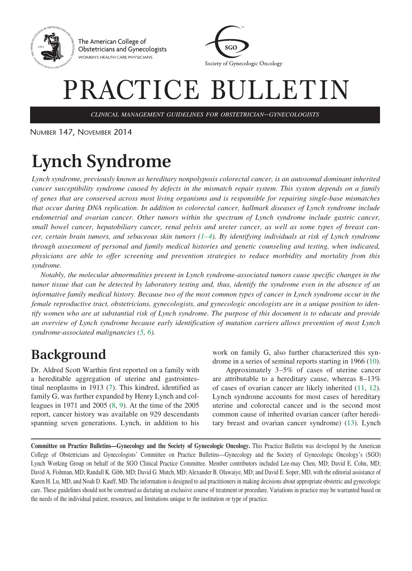

The American College of Obstetricians and Gynecologists WOMEN'S HEALTH CARE PHYSICIANS



# PRACTICE BULLETIN

*clinical management guidelines for obstetrician–gynecologists*

Number 147, November 2014

# **Lynch Syndrome**

*Lynch syndrome, previously known as hereditary nonpolyposis colorectal cancer, is an autosomal dominant inherited cancer susceptibility syndrome caused by defects in the mismatch repair system. This system depends on a family of genes that are conserved across most living organisms and is responsible for repairing single-base mismatches that occur during DNA replication. In addition to colorectal cancer, hallmark diseases of Lynch syndrome include endometrial and ovarian cancer. Other tumors within the spectrum of Lynch syndrome include gastric cancer, small bowel cancer, hepatobiliary cancer, renal pelvis and ureter cancer, as well as some types of breast cancer, certain brain tumors, and sebaceous skin tumors ([1–4\)](#page-9-7). By identifying individuals at risk of Lynch syndrome through assessment of personal and family medical histories and genetic counseling and testing, when indicated, physicians are able to offer screening and prevention strategies to reduce morbidity and mortality from this syndrome.*

<span id="page-0-7"></span>*Notably, the molecular abnormalities present in Lynch syndrome-associated tumors cause specific changes in the tumor tissue that can be detected by laboratory testing and, thus, identify the syndrome even in the absence of an informative family medical history. Because two of the most common types of cancer in Lynch syndrome occur in the female reproductive tract, obstetricians, gynecologists, and gynecologic oncologists are in a unique position to identify women who are at substantial risk of Lynch syndrome. The purpose of this document is to educate and provide an overview of Lynch syndrome because early identification of mutation carriers allows prevention of most Lynch syndrome-associated malignancies ([5,](#page-9-8) [6\)](#page-9-9).*

# <span id="page-0-9"></span>**Background**

<span id="page-0-1"></span><span id="page-0-0"></span>Dr. Aldred Scott Warthin first reported on a family with a hereditable aggregation of uterine and gastrointestinal neoplasms in 1913 [\(7](#page-9-0)). This kindred, identified as family G, was further expanded by Henry Lynch and colleagues in 1971 and 2005 ([8,](#page-9-1) [9\)](#page-9-2). At the time of the 2005 report, cancer history was available on 929 descendants spanning seven generations. Lynch, in addition to his <span id="page-0-10"></span><span id="page-0-8"></span><span id="page-0-3"></span>work on family G, also further characterized this syndrome in a series of seminal reports starting in 1966 [\(10](#page-9-3)).

<span id="page-0-6"></span><span id="page-0-5"></span><span id="page-0-4"></span><span id="page-0-2"></span>Approximately 3–5% of cases of uterine cancer are attributable to a hereditary cause, whereas 8–13% of cases of ovarian cancer are likely inherited [\(11](#page-9-4), [12](#page-9-5)). Lynch syndrome accounts for most cases of hereditary uterine and colorectal cancer and is the second most common cause of inherited ovarian cancer (after hereditary breast and ovarian cancer syndrome) [\(13](#page-9-6)). Lynch

**Committee on Practice Bulletins—Gynecology and the Society of Gynecologic Oncology.** This Practice Bulletin was developed by the American College of Obstetricians and Gynecologists' Committee on Practice Bulletins—Gynecology and the Society of Gynecologic Oncology's (SGO) Lynch Working Group on behalf of the SGO Clinical Practice Committee. Member contributors included Lee-may Chen, MD; David E. Cohn, MD; David A. Fishman, MD; Randall K. Gibb, MD; David G. Mutch, MD; Alexander B. Olawaiye, MD; and David E. Soper, MD, with the editorial assistance of Karen H. Lu, MD, and Noah D. Kauff, MD. The information is designed to aid practitioners in making decisions about appropriate obstetric and gynecologic care. These guidelines should not be construed as dictating an exclusive course of treatment or procedure. Variations in practice may be warranted based on the needs of the individual patient, resources, and limitations unique to the institution or type of practice.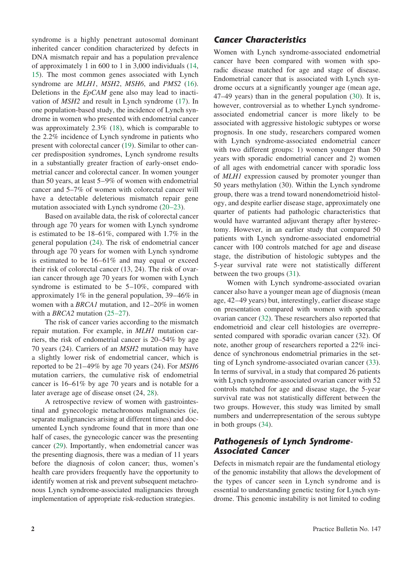<span id="page-1-1"></span><span id="page-1-0"></span>syndrome is a highly penetrant autosomal dominant inherited cancer condition characterized by defects in DNA mismatch repair and has a population prevalence of approximately 1 in 600 to 1 in 3,000 individuals [\(14](#page-9-10), [15](#page-9-11)). The most common genes associated with Lynch syndrome are *MLH1*, *MSH2*, *MSH6*, and *PMS2* [\(16](#page-9-12)). Deletions in the *EpCAM* gene also may lead to inactivation of *MSH2* and result in Lynch syndrome [\(17](#page-9-13)). In one population-based study, the incidence of Lynch syndrome in women who presented with endometrial cancer was approximately 2.3% [\(18](#page-9-14)), which is comparable to the 2.2% incidence of Lynch syndrome in patients who present with colorectal cancer [\(19](#page-9-15)). Similar to other cancer predisposition syndromes, Lynch syndrome results in a substantially greater fraction of early-onset endometrial cancer and colorectal cancer. In women younger than 50 years, at least 5–9% of women with endometrial cancer and 5–7% of women with colorectal cancer will have a detectable deleterious mismatch repair gene mutation associated with Lynch syndrome ([20–23](#page-9-16)).

<span id="page-1-6"></span><span id="page-1-5"></span>Based on available data, the risk of colorectal cancer through age 70 years for women with Lynch syndrome is estimated to be 18–61%, compared with 1.7% in the general population ([24\)](#page-10-5). The risk of endometrial cancer through age 70 years for women with Lynch syndrome is estimated to be 16–61% and may equal or exceed their risk of colorectal cancer (13, 24). The risk of ovarian cancer through age 70 years for women with Lynch syndrome is estimated to be 5–10%, compared with approximately 1% in the general population, 39–46% in women with a *BRCA1* mutation, and 12–20% in women with a *BRCA2* mutation [\(25–27\)](#page-10-6).

<span id="page-1-11"></span>The risk of cancer varies according to the mismatch repair mutation. For example, in *MLH1* mutation carriers, the risk of endometrial cancer is 20–54% by age 70 years (24). Carriers of an *MSH2* mutation may have a slightly lower risk of endometrial cancer, which is reported to be 21–49% by age 70 years (24). For *MSH6* mutation carriers, the cumulative risk of endometrial cancer is 16–61% by age 70 years and is notable for a later average age of disease onset (24, [28](#page-10-7)).

<span id="page-1-14"></span><span id="page-1-13"></span>A retrospective review of women with gastrointestinal and gynecologic metachronous malignancies (ie, separate malignancies arising at different times) and documented Lynch syndrome found that in more than one half of cases, the gynecologic cancer was the presenting cancer ([29\)](#page-10-8). Importantly, when endometrial cancer was the presenting diagnosis, there was a median of 11 years before the diagnosis of colon cancer; thus, women's health care providers frequently have the opportunity to identify women at risk and prevent subsequent metachronous Lynch syndrome-associated malignancies through implementation of appropriate risk-reduction strategies.

#### *Cancer Characteristics*

<span id="page-1-15"></span><span id="page-1-4"></span><span id="page-1-3"></span><span id="page-1-2"></span>Women with Lynch syndrome-associated endometrial cancer have been compared with women with sporadic disease matched for age and stage of disease. Endometrial cancer that is associated with Lynch syndrome occurs at a significantly younger age (mean age, 47–49 years) than in the general population [\(30](#page-10-0)). It is, however, controversial as to whether Lynch syndromeassociated endometrial cancer is more likely to be associated with aggressive histologic subtypes or worse prognosis. In one study, researchers compared women with Lynch syndrome-associated endometrial cancer with two different groups: 1) women younger than 50 years with sporadic endometrial cancer and 2) women of all ages with endometrial cancer with sporadic loss of *MLH1* expression caused by promoter younger than 50 years methylation (30). Within the Lynch syndrome group, there was a trend toward nonendometrioid histology, and despite earlier disease stage, approximately one quarter of patients had pathologic characteristics that would have warranted adjuvant therapy after hysterectomy. However, in an earlier study that compared 50 patients with Lynch syndrome-associated endometrial cancer with 100 controls matched for age and disease stage, the distribution of histologic subtypes and the 5-year survival rate were not statistically different between the two groups ([31\)](#page-10-1).

<span id="page-1-17"></span><span id="page-1-16"></span><span id="page-1-12"></span><span id="page-1-10"></span><span id="page-1-9"></span>Women with Lynch syndrome-associated ovarian cancer also have a younger mean age of diagnosis (mean age, 42–49 years) but, interestingly, earlier disease stage on presentation compared with women with sporadic ovarian cancer ([32\)](#page-10-2). These researchers also reported that endometrioid and clear cell histologies are overrepresented compared with sporadic ovarian cancer (32). Of note, another group of researchers reported a 22% incidence of synchronous endometrial primaries in the setting of Lynch syndrome-associated ovarian cancer ([33\)](#page-10-3). In terms of survival, in a study that compared 26 patients with Lynch syndrome-associated ovarian cancer with 52 controls matched for age and disease stage, the 5-year survival rate was not statistically different between the two groups. However, this study was limited by small numbers and underrepresentation of the serous subtype in both groups ([34\)](#page-10-4).

#### <span id="page-1-8"></span><span id="page-1-7"></span>*Pathogenesis of Lynch Syndrome-Associated Cancer*

Defects in mismatch repair are the fundamental etiology of the genomic instability that allows the development of the types of cancer seen in Lynch syndrome and is essential to understanding genetic testing for Lynch syndrome. This genomic instability is not limited to coding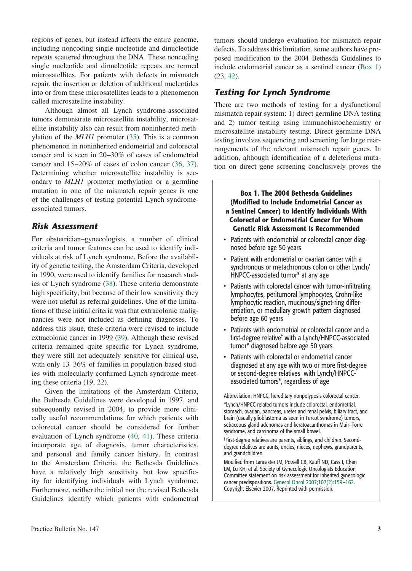regions of genes, but instead affects the entire genome, including noncoding single nucleotide and dinucleotide repeats scattered throughout the DNA. These noncoding single nucleotide and dinucleotide repeats are termed microsatellites. For patients with defects in mismatch repair, the insertion or deletion of additional nucleotides into or from these microsatellites leads to a phenomenon called microsatellite instability.

Although almost all Lynch syndrome-associated tumors demonstrate microsatellite instability, microsatellite instability also can result from noninherited methylation of the *MLH1* promoter [\(35](#page-10-10)). This is a common phenomenon in noninherited endometrial and colorectal cancer and is seen in 20–30% of cases of endometrial cancer and 15–20% of cases of colon cancer ([36,](#page-10-11) [37](#page-10-12)). Determining whether microsatellite instability is secondary to *MLH1* promoter methylation or a germline mutation in one of the mismatch repair genes is one of the challenges of testing potential Lynch syndromeassociated tumors.

#### *Risk Assessment*

For obstetrician–gynecologists, a number of clinical criteria and tumor features can be used to identify individuals at risk of Lynch syndrome. Before the availability of genetic testing, the Amsterdam Criteria, developed in 1990, were used to identify families for research studies of Lynch syndrome ([38\)](#page-10-13). These criteria demonstrate high specificity, but because of their low sensitivity they were not useful as referral guidelines. One of the limitations of these initial criteria was that extracolonic malignancies were not included as defining diagnoses. To address this issue, these criteria were revised to include extracolonic cancer in 1999 [\(39](#page-10-14)). Although these revised criteria remained quite specific for Lynch syndrome, they were still not adequately sensitive for clinical use, with only 13–36% of families in population-based studies with molecularly confirmed Lynch syndrome meeting these criteria (19, 22).

<span id="page-2-6"></span>Given the limitations of the Amsterdam Criteria, the Bethesda Guidelines were developed in 1997, and subsequently revised in 2004, to provide more clinically useful recommendations for which patients with colorectal cancer should be considered for further evaluation of Lynch syndrome ([40,](#page-10-15) [41](#page-10-16)). These criteria incorporate age of diagnosis, tumor characteristics, and personal and family cancer history. In contrast to the Amsterdam Criteria, the Bethesda Guidelines have a relatively high sensitivity but low specificity for identifying individuals with Lynch syndrome. Furthermore, neither the initial nor the revised Bethesda Guidelines identify which patients with endometrial

tumors should undergo evaluation for mismatch repair defects. To address this limitation, some authors have proposed modification to the 2004 Bethesda Guidelines to include endometrial cancer as a sentinel cancer [\(Box 1](#page-2-0)) (23, [42\)](#page-10-9).

### <span id="page-2-8"></span>*Testing for Lynch Syndrome*

<span id="page-2-1"></span>There are two methods of testing for a dysfunctional mismatch repair system: 1) direct germline DNA testing and 2) tumor testing using immunohistochemistry or microsatellite instability testing. Direct germline DNA testing involves sequencing and screening for large rearrangements of the relevant mismatch repair genes. In addition, although identification of a deleterious mutation on direct gene screening conclusively proves the

<span id="page-2-3"></span><span id="page-2-2"></span><span id="page-2-0"></span>**Box 1. The 2004 Bethesda Guidelines (Modified to Include Endometrial Cancer as a Sentinel Cancer) to Identify Individuals With Colorectal or Endometrial Cancer for Whom Genetic Risk Assessment Is Recommended**

- Patients with endometrial or colorectal cancer diagnosed before age 50 years
- Patient with endometrial or ovarian cancer with a synchronous or metachronous colon or other Lynch/ HNPCC-associated tumor\* at any age
- <span id="page-2-4"></span>• Patients with colorectal cancer with tumor-infiltrating lymphocytes, peritumoral lymphocytes, Crohn-like lymphocytic reaction, mucinous/signet-ring differentiation, or medullary growth pattern diagnosed before age 60 years
- <span id="page-2-5"></span>• Patients with endometrial or colorectal cancer and a first-degree relative† with a Lynch/HNPCC-associated tumor\* diagnosed before age 50 years
- Patients with colorectal or endometrial cancer diagnosed at any age with two or more first-degree or second-degree relatives† with Lynch/HNPCCassociated tumors\*, regardless of age

Abbreviation: HNPCC, hereditary nonpolyposis colorectal cancer. \*Lynch/HNPCC-related tumors include colorectal, endometrial, stomach, ovarian, pancreas, ureter and renal pelvis, biliary tract, and brain (usually glioblastoma as seen in Turcot syndrome) tumors, sebaceous gland adenomas and keratoacanthomas in Muir-Torre syndrome, and carcinoma of the small bowel.

<span id="page-2-7"></span>† First-degree relatives are parents, siblings, and children. Seconddegree relatives are aunts, uncles, nieces, nephews, grandparents, and grandchildren.

Modified from Lancaster JM, Powell CB, Kauff ND, Cass I, Chen LM, Lu KH, et al. Society of Gynecologic Oncologists Education Committee statement on risk assessment for inherited gynecologic cancer predispositions. [Gynecol Oncol 2007;107\(2\):159–162.](http://www.sciencedirect.com/science/article/pii/S0090825807007895) Copyright Elsevier 2007. Reprinted with permission.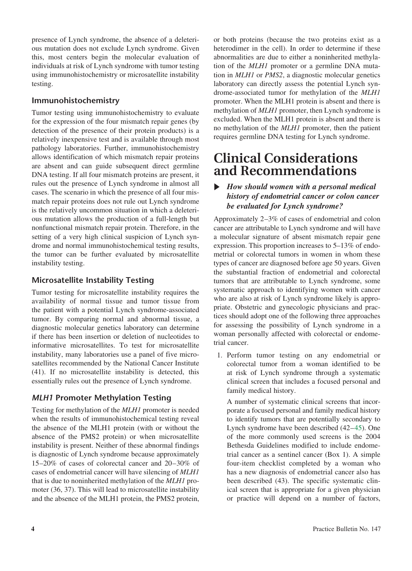presence of Lynch syndrome, the absence of a deleterious mutation does not exclude Lynch syndrome. Given this, most centers begin the molecular evaluation of individuals at risk of Lynch syndrome with tumor testing using immunohistochemistry or microsatellite instability testing.

#### **Immunohistochemistry**

Tumor testing using immunohistochemistry to evaluate for the expression of the four mismatch repair genes (by detection of the presence of their protein products) is a relatively inexpensive test and is available through most pathology laboratories. Further, immunohistochemistry allows identification of which mismatch repair proteins are absent and can guide subsequent direct germline DNA testing. If all four mismatch proteins are present, it rules out the presence of Lynch syndrome in almost all cases. The scenario in which the presence of all four mismatch repair proteins does not rule out Lynch syndrome is the relatively uncommon situation in which a deleterious mutation allows the production of a full-length but nonfunctional mismatch repair protein. Therefore, in the setting of a very high clinical suspicion of Lynch syndrome and normal immunohistochemical testing results, the tumor can be further evaluated by microsatellite instability testing.

### **Microsatellite Instability Testing**

Tumor testing for microsatellite instability requires the availability of normal tissue and tumor tissue from the patient with a potential Lynch syndrome-associated tumor. By comparing normal and abnormal tissue, a diagnostic molecular genetics laboratory can determine if there has been insertion or deletion of nucleotides to informative microsatellites. To test for microsatellite instability, many laboratories use a panel of five microsatellites recommended by the National Cancer Institute (41). If no microsatellite instability is detected, this essentially rules out the presence of Lynch syndrome.

## *MLH1* **Promoter Methylation Testing**

Testing for methylation of the *MLH1* promoter is needed when the results of immunohistochemical testing reveal the absence of the MLH1 protein (with or without the absence of the PMS2 protein) or when microsatellite instability is present. Neither of these abnormal findings is diagnostic of Lynch syndrome because approximately 15–20% of cases of colorectal cancer and 20–30% of cases of endometrial cancer will have silencing of *MLH1* that is due to noninherited methylation of the *MLH1* promoter (36, 37). This will lead to microsatellite instability and the absence of the MLH1 protein, the PMS2 protein,

or both proteins (because the two proteins exist as a heterodimer in the cell). In order to determine if these abnormalities are due to either a noninherited methylation of the *MLH1* promoter or a germline DNA mutation in *MLH1* or *PMS2*, a diagnostic molecular genetics laboratory can directly assess the potential Lynch syndrome-associated tumor for methylation of the *MLH1* promoter. When the MLH1 protein is absent and there is methylation of *MLH1* promoter, then Lynch syndrome is excluded. When the MLH1 protein is absent and there is no methylation of the *MLH1* promoter, then the patient requires germline DNA testing for Lynch syndrome.

# **Clinical Considerations and Recommendations**

#### *How should women with a personal medical history of endometrial cancer or colon cancer be evaluated for Lynch syndrome?*

Approximately 2–3% of cases of endometrial and colon cancer are attributable to Lynch syndrome and will have a molecular signature of absent mismatch repair gene expression. This proportion increases to 5–13% of endometrial or colorectal tumors in women in whom these types of cancer are diagnosed before age 50 years. Given the substantial fraction of endometrial and colorectal tumors that are attributable to Lynch syndrome, some systematic approach to identifying women with cancer who are also at risk of Lynch syndrome likely is appropriate. Obstetric and gynecologic physicians and practices should adopt one of the following three approaches for assessing the possibility of Lynch syndrome in a woman personally affected with colorectal or endometrial cancer.

1. Perform tumor testing on any endometrial or colorectal tumor from a woman identified to be at risk of Lynch syndrome through a systematic clinical screen that includes a focused personal and family medical history.

<span id="page-3-0"></span>A number of systematic clinical screens that incorporate a focused personal and family medical history to identify tumors that are potentially secondary to Lynch syndrome have been described (42–[45](#page-11-0)). One of the more commonly used screens is the 2004 Bethesda Guidelines modified to include endometrial cancer as a sentinel cancer (Box 1). A simple four-item checklist completed by a woman who has a new diagnosis of endometrial cancer also has been described (43). The specific systematic clinical screen that is appropriate for a given physician or practice will depend on a number of factors,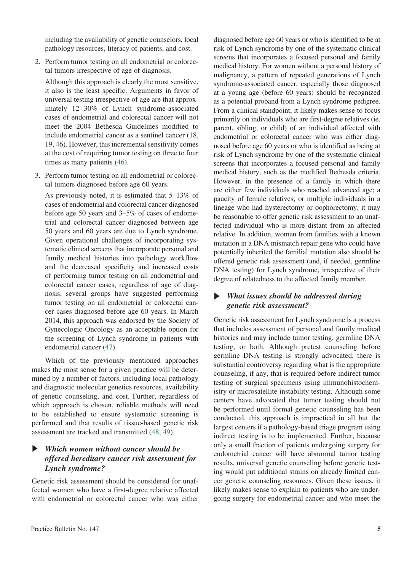including the availability of genetic counselors, local pathology resources, literacy of patients, and cost.

2. Perform tumor testing on all endometrial or colorectal tumors irrespective of age of diagnosis.

Although this approach is clearly the most sensitive, it also is the least specific. Arguments in favor of universal testing irrespective of age are that approximately 12–30% of Lynch syndrome-associated cases of endometrial and colorectal cancer will not meet the 2004 Bethesda Guidelines modified to include endometrial cancer as a sentinel cancer (18, 19, 46). However, this incremental sensitivity comes at the cost of requiring tumor testing on three to four times as many patients ([46\)](#page-11-1).

<span id="page-4-0"></span>3. Perform tumor testing on all endometrial or colorectal tumors diagnosed before age 60 years.

As previously noted, it is estimated that 5–13% of cases of endometrial and colorectal cancer diagnosed before age 50 years and 3–5% of cases of endometrial and colorectal cancer diagnosed between age 50 years and 60 years are due to Lynch syndrome. Given operational challenges of incorporating systematic clinical screens that incorporate personal and family medical histories into pathology workflow and the decreased specificity and increased costs of performing tumor testing on all endometrial and colorectal cancer cases, regardless of age of diagnosis, several groups have suggested performing tumor testing on all endometrial or colorectal cancer cases diagnosed before age 60 years. In March 2014, this approach was endorsed by the Society of Gynecologic Oncology as an acceptable option for the screening of Lynch syndrome in patients with endometrial cancer ([47\)](#page-11-2).

<span id="page-4-1"></span>Which of the previously mentioned approaches makes the most sense for a given practice will be determined by a number of factors, including local pathology and diagnostic molecular genetics resources, availability of genetic counseling, and cost. Further, regardless of which approach is chosen, reliable methods will need to be established to ensure systematic screening is performed and that results of tissue-based genetic risk assessment are tracked and transmitted ([48,](#page-11-3) [49\)](#page-11-4).

#### <span id="page-4-2"></span>*Which women without cancer should be offered hereditary cancer risk assessment for Lynch syndrome?*

Genetic risk assessment should be considered for unaffected women who have a first-degree relative affected with endometrial or colorectal cancer who was either

diagnosed before age 60 years or who is identified to be at risk of Lynch syndrome by one of the systematic clinical screens that incorporates a focused personal and family medical history. For women without a personal history of malignancy, a pattern of repeated generations of Lynch syndrome-associated cancer, especially those diagnosed at a young age (before 60 years) should be recognized as a potential proband from a Lynch syndrome pedigree. From a clinical standpoint, it likely makes sense to focus primarily on individuals who are first-degree relatives (ie, parent, sibling, or child) of an individual affected with endometrial or colorectal cancer who was either diagnosed before age 60 years or who is identified as being at risk of Lynch syndrome by one of the systematic clinical screens that incorporates a focused personal and family medical history, such as the modified Bethesda criteria. However, in the presence of a family in which there are either few individuals who reached advanced age; a paucity of female relatives; or multiple individuals in a lineage who had hysterectomy or oophorectomy, it may be reasonable to offer genetic risk assessment to an unaffected individual who is more distant from an affected relative. In addition, women from families with a known mutation in a DNA mismatch repair gene who could have potentially inherited the familial mutation also should be offered genetic risk assessment (and, if needed, germline DNA testing) for Lynch syndrome, irrespective of their degree of relatedness to the affected family member.

#### *What issues should be addressed during genetic risk assessment?*

<span id="page-4-3"></span>Genetic risk assessment for Lynch syndrome is a process that includes assessment of personal and family medical histories and may include tumor testing, germline DNA testing, or both. Although pretest counseling before germline DNA testing is strongly advocated, there is substantial controversy regarding what is the appropriate counseling, if any, that is required before indirect tumor testing of surgical specimens using immunohistochemistry or microsatellite instability testing. Although some centers have advocated that tumor testing should not be performed until formal genetic counseling has been conducted, this approach is impractical in all but the largest centers if a pathology-based triage program using indirect testing is to be implemented. Further, because only a small fraction of patients undergoing surgery for endometrial cancer will have abnormal tumor testing results, universal genetic counseling before genetic testing would put additional strains on already limited cancer genetic counseling resources. Given these issues, it likely makes sense to explain to patients who are undergoing surgery for endometrial cancer and who meet the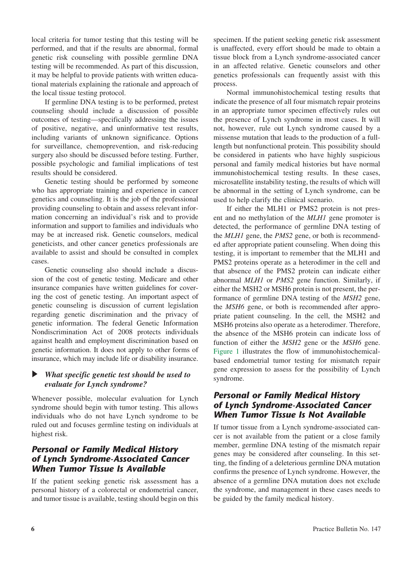local criteria for tumor testing that this testing will be performed, and that if the results are abnormal, formal genetic risk counseling with possible germline DNA testing will be recommended. As part of this discussion, it may be helpful to provide patients with written educational materials explaining the rationale and approach of the local tissue testing protocol.

If germline DNA testing is to be performed, pretest counseling should include a discussion of possible outcomes of testing—specifically addressing the issues of positive, negative, and uninformative test results, including variants of unknown significance. Options for surveillance, chemoprevention, and risk-reducing surgery also should be discussed before testing. Further, possible psychologic and familial implications of test results should be considered.

Genetic testing should be performed by someone who has appropriate training and experience in cancer genetics and counseling. It is the job of the professional providing counseling to obtain and assess relevant information concerning an individual's risk and to provide information and support to families and individuals who may be at increased risk. Genetic counselors, medical geneticists, and other cancer genetics professionals are available to assist and should be consulted in complex cases.

Genetic counseling also should include a discussion of the cost of genetic testing. Medicare and other insurance companies have written guidelines for covering the cost of genetic testing. An important aspect of genetic counseling is discussion of current legislation regarding genetic discrimination and the privacy of genetic information. The federal Genetic Information Nondiscrimination Act of 2008 protects individuals against health and employment discrimination based on genetic information. It does not apply to other forms of insurance, which may include life or disability insurance.

#### *What specific genetic test should be used to evaluate for Lynch syndrome?*

Whenever possible, molecular evaluation for Lynch syndrome should begin with tumor testing. This allows individuals who do not have Lynch syndrome to be ruled out and focuses germline testing on individuals at highest risk.

### *Personal or Family Medical History of Lynch Syndrome-Associated Cancer When Tumor Tissue Is Available*

If the patient seeking genetic risk assessment has a personal history of a colorectal or endometrial cancer, and tumor tissue is available, testing should begin on this

specimen. If the patient seeking genetic risk assessment is unaffected, every effort should be made to obtain a tissue block from a Lynch syndrome-associated cancer in an affected relative. Genetic counselors and other genetics professionals can frequently assist with this process.

Normal immunohistochemical testing results that indicate the presence of all four mismatch repair proteins in an appropriate tumor specimen effectively rules out the presence of Lynch syndrome in most cases. It will not, however, rule out Lynch syndrome caused by a missense mutation that leads to the production of a fulllength but nonfunctional protein. This possibility should be considered in patients who have highly suspicious personal and family medical histories but have normal immunohistochemical testing results. In these cases, microsatellite instability testing, the results of which will be abnormal in the setting of Lynch syndrome, can be used to help clarify the clinical scenario.

If either the MLH1 or PMS2 protein is not present and no methylation of the *MLH1* gene promoter is detected, the performance of germline DNA testing of the *MLH1* gene, the *PMS2* gene, or both is recommended after appropriate patient counseling. When doing this testing, it is important to remember that the MLH1 and PMS2 proteins operate as a heterodimer in the cell and that absence of the PMS2 protein can indicate either abnormal *MLH1* or *PMS2* gene function. Similarly, if either the MSH2 or MSH6 protein is not present, the performance of germline DNA testing of the *MSH2* gene, the *MSH6* gene, or both is recommended after appropriate patient counseling. In the cell, the MSH2 and MSH6 proteins also operate as a heterodimer. Therefore, the absence of the MSH6 protein can indicate loss of function of either the *MSH2* gene or the *MSH6* gene. [Figure 1](#page-6-0) illustrates the flow of immunohistochemicalbased endometrial tumor testing for mismatch repair gene expression to assess for the possibility of Lynch syndrome.

### <span id="page-5-0"></span>*Personal or Family Medical History of Lynch Syndrome-Associated Cancer When Tumor Tissue Is Not Available*

If tumor tissue from a Lynch syndrome-associated cancer is not available from the patient or a close family member, germline DNA testing of the mismatch repair genes may be considered after counseling. In this setting, the finding of a deleterious germline DNA mutation confirms the presence of Lynch syndrome. However, the absence of a germline DNA mutation does not exclude the syndrome, and management in these cases needs to be guided by the family medical history.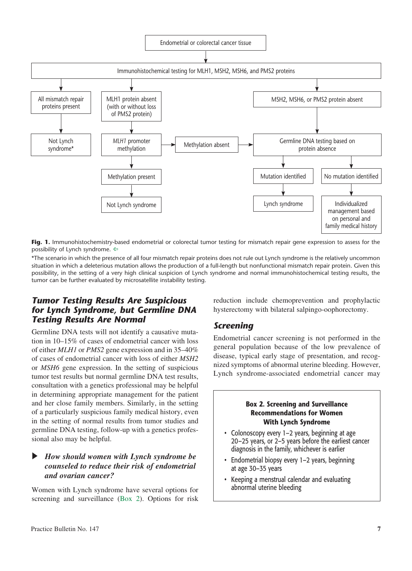

<span id="page-6-0"></span>**Fig. 1.** Immunohistochemistry-based endometrial or colorectal tumor testing for mismatch repair gene expression to assess for the possibility of Lynch syndrome.  $\Leftrightarrow$ 

\*The scenario in which the presence of all four mismatch repair proteins does not rule out Lynch syndrome is the relatively uncommon situation in which a deleterious mutation allows the production of a full-length but nonfunctional mismatch repair protein. Given this possibility, in the setting of a very high clinical suspicion of Lynch syndrome and normal immunohistochemical testing results, the tumor can be further evaluated by microsatellite instability testing.

#### *Tumor Testing Results Are Suspicious for Lynch Syndrome, but Germline DNA Testing Results Are Normal*

Germline DNA tests will not identify a causative mutation in 10–15% of cases of endometrial cancer with loss of either *MLH1* or *PMS2* gene expression and in 35–40% of cases of endometrial cancer with loss of either *MSH2* or *MSH6* gene expression. In the setting of suspicious tumor test results but normal germline DNA test results, consultation with a genetics professional may be helpful in determining appropriate management for the patient and her close family members. Similarly, in the setting of a particularly suspicious family medical history, even in the setting of normal results from tumor studies and germline DNA testing, follow-up with a genetics professional also may be helpful.

#### *How should women with Lynch syndrome be counseled to reduce their risk of endometrial and ovarian cancer?*

Women with Lynch syndrome have several options for screening and surveillance ([Box 2](#page-6-1)). Options for risk reduction include chemoprevention and prophylactic hysterectomy with bilateral salpingo-oophorectomy.

## *Screening*

Endometrial cancer screening is not performed in the general population because of the low prevalence of disease, typical early stage of presentation, and recognized symptoms of abnormal uterine bleeding. However, Lynch syndrome-associated endometrial cancer may

#### <span id="page-6-1"></span>**Box 2. Screening and Surveillance Recommendations for Women With Lynch Syndrome**

- Colonoscopy every 1–2 years, beginning at age 20–25 years, or 2–5 years before the earliest cancer diagnosis in the family, whichever is earlier
- Endometrial biopsy every 1–2 years, beginning at age 30–35 years
- Keeping a menstrual calendar and evaluating abnormal uterine bleeding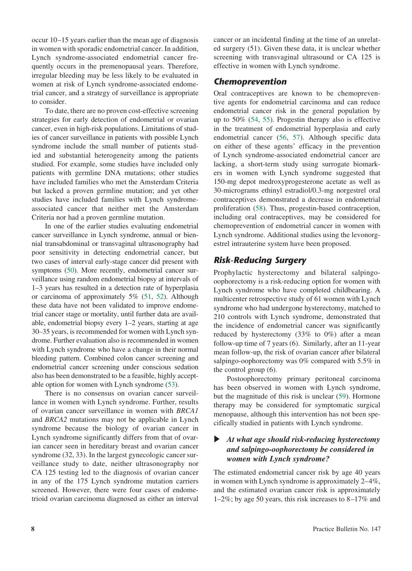occur 10–15 years earlier than the mean age of diagnosis in women with sporadic endometrial cancer. In addition, Lynch syndrome-associated endometrial cancer frequently occurs in the premenopausal years. Therefore, irregular bleeding may be less likely to be evaluated in women at risk of Lynch syndrome-associated endometrial cancer, and a strategy of surveillance is appropriate to consider.

To date, there are no proven cost-effective screening strategies for early detection of endometrial or ovarian cancer, even in high-risk populations. Limitations of studies of cancer surveillance in patients with possible Lynch syndrome include the small number of patients studied and substantial heterogeneity among the patients studied. For example, some studies have included only patients with germline DNA mutations; other studies have included families who met the Amsterdam Criteria but lacked a proven germline mutation; and yet other studies have included families with Lynch syndromeassociated cancer that neither met the Amsterdam Criteria nor had a proven germline mutation.

<span id="page-7-6"></span><span id="page-7-5"></span>In one of the earlier studies evaluating endometrial cancer surveillance in Lynch syndrome, annual or biennial transabdominal or transvaginal ultrasonography had poor sensitivity in detecting endometrial cancer, but two cases of interval early-stage cancer did present with symptoms ([50](#page-11-11)). More recently, endometrial cancer surveillance using random endometrial biopsy at intervals of 1–3 years has resulted in a detection rate of hyperplasia or carcinoma of approximately 5% [\(51](#page-11-12), [52\)](#page-11-13). Although these data have not been validated to improve endometrial cancer stage or mortality, until further data are available, endometrial biopsy every 1–2 years, starting at age 30–35 years, is recommended for women with Lynch syndrome. Further evaluation also is recommended in women with Lynch syndrome who have a change in their normal bleeding pattern. Combined colon cancer screening and endometrial cancer screening under conscious sedation also has been demonstrated to be a feasible, highly acceptable option for women with Lynch syndrome [\(53](#page-11-14)).

There is no consensus on ovarian cancer surveillance in women with Lynch syndrome. Further, results of ovarian cancer surveillance in women with *BRCA1*  and *BRCA2* mutations may not be applicable in Lynch syndrome because the biology of ovarian cancer in Lynch syndrome significantly differs from that of ovarian cancer seen in hereditary breast and ovarian cancer syndrome (32, 33). In the largest gynecologic cancer surveillance study to date, neither ultrasonography nor CA 125 testing led to the diagnosis of ovarian cancer in any of the 175 Lynch syndrome mutation carriers screened. However, there were four cases of endometrioid ovarian carcinoma diagnosed as either an interval

cancer or an incidental finding at the time of an unrelated surgery (51). Given these data, it is unclear whether screening with transvaginal ultrasound or CA 125 is effective in women with Lynch syndrome.

#### *Chemoprevention*

<span id="page-7-9"></span><span id="page-7-2"></span><span id="page-7-1"></span><span id="page-7-0"></span>Oral contraceptives are known to be chemopreventive agents for endometrial carcinoma and can reduce endometrial cancer risk in the general population by up to 50% ([54,](#page-11-5) [55\)](#page-11-6). Progestin therapy also is effective in the treatment of endometrial hyperplasia and early endometrial cancer [\(56](#page-11-7), [57\)](#page-11-8). Although specific data on either of these agents' efficacy in the prevention of Lynch syndrome-associated endometrial cancer are lacking, a short-term study using surrogate biomarkers in women with Lynch syndrome suggested that 150-mg depot medroxyprogesterone acetate as well as 30-micrograms ethinyl estradiol/0.3-mg norgestrel oral contraceptives demonstrated a decrease in endometrial proliferation [\(58](#page-11-9)). Thus, progestin-based contraception, including oral contraceptives, may be considered for chemoprevention of endometrial cancer in women with Lynch syndrome. Additional studies using the levonorgestrel intrauterine system have been proposed.

## <span id="page-7-3"></span>*Risk-Reducing Surgery*

<span id="page-7-7"></span>Prophylactic hysterectomy and bilateral salpingooophorectomy is a risk-reducing option for women with Lynch syndrome who have completed childbearing. A multicenter retrospective study of 61 women with Lynch syndrome who had undergone hysterectomy, matched to 210 controls with Lynch syndrome, demonstrated that the incidence of endometrial cancer was significantly reduced by hysterectomy (33% to 0%) after a mean follow-up time of 7 years (6). Similarly, after an 11-year mean follow-up, the risk of ovarian cancer after bilateral salpingo-oophorectomy was 0% compared with 5.5% in the control group (6).

<span id="page-7-8"></span><span id="page-7-4"></span>Postoophorectomy primary peritoneal carcinoma has been observed in women with Lynch syndrome, but the magnitude of this risk is unclear ([59\)](#page-11-10). Hormone therapy may be considered for symptomatic surgical menopause, although this intervention has not been specifically studied in patients with Lynch syndrome.

#### ▶ *At what age should risk-reducing hysterectomy and salpingo-oophorectomy be considered in women with Lynch syndrome?*

The estimated endometrial cancer risk by age 40 years in women with Lynch syndrome is approximately 2–4%, and the estimated ovarian cancer risk is approximately 1–2%; by age 50 years, this risk increases to 8–17% and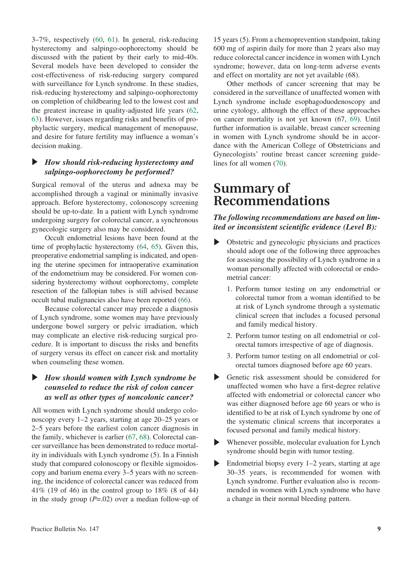3–7%, respectively [\(60](#page-11-15), [61](#page-11-16)). In general, risk-reducing hysterectomy and salpingo-oophorectomy should be discussed with the patient by their early to mid-40s. Several models have been developed to consider the cost-effectiveness of risk-reducing surgery compared with surveillance for Lynch syndrome. In these studies, risk-reducing hysterectomy and salpingo-oophorectomy on completion of childbearing led to the lowest cost and the greatest increase in quality-adjusted life years [\(62](#page-11-17), [63\)](#page-11-18). However, issues regarding risks and benefits of prophylactic surgery, medical management of menopause, and desire for future fertility may influence a woman's decision making.

#### <span id="page-8-3"></span><span id="page-8-2"></span>*How should risk-reducing hysterectomy and salpingo-oophorectomy be performed?*

Surgical removal of the uterus and adnexa may be accomplished through a vaginal or minimally invasive approach. Before hysterectomy, colonoscopy screening should be up-to-date. In a patient with Lynch syndrome undergoing surgery for colorectal cancer, a synchronous gynecologic surgery also may be considered.

<span id="page-8-4"></span>Occult endometrial lesions have been found at the time of prophylactic hysterectomy ([64,](#page-11-19) [65\)](#page-11-20). Given this, preoperative endometrial sampling is indicated, and opening the uterine specimen for intraoperative examination of the endometrium may be considered. For women considering hysterectomy without oophorectomy, complete resection of the fallopian tubes is still advised because occult tubal malignancies also have been reported ([66\)](#page-11-21).

Because colorectal cancer may precede a diagnosis of Lynch syndrome, some women may have previously undergone bowel surgery or pelvic irradiation, which may complicate an elective risk-reducing surgical procedure. It is important to discuss the risks and benefits of surgery versus its effect on cancer risk and mortality when counseling these women.

#### $\blacktriangleright$ *How should women with Lynch syndrome be counseled to reduce the risk of colon cancer as well as other types of noncolonic cancer?*

All women with Lynch syndrome should undergo colonoscopy every 1–2 years, starting at age 20–25 years or 2–5 years before the earliest colon cancer diagnosis in the family, whichever is earlier ([67,](#page-12-2) [68\)](#page-12-3). Colorectal cancer surveillance has been demonstrated to reduce mortality in individuals with Lynch syndrome (5). In a Finnish study that compared colonoscopy or flexible sigmoidoscopy and barium enema every 3–5 years with no screening, the incidence of colorectal cancer was reduced from 41% (19 of 46) in the control group to 18% (8 of 44) in the study group  $(P=.02)$  over a median follow-up of

<span id="page-8-1"></span><span id="page-8-0"></span>15 years (5). From a chemoprevention standpoint, taking 600 mg of aspirin daily for more than 2 years also may reduce colorectal cancer incidence in women with Lynch syndrome; however, data on long-term adverse events and effect on mortality are not yet available (68).

<span id="page-8-9"></span>Other methods of cancer screening that may be considered in the surveillance of unaffected women with Lynch syndrome include esophagoduodenoscopy and urine cytology, although the effect of these approaches on cancer mortality is not yet known (67, [69](#page-12-0)). Until further information is available, breast cancer screening in women with Lynch syndrome should be in accordance with the American College of Obstetricians and Gynecologists' routine breast cancer screening guidelines for all women ([70\)](#page-12-1).

## <span id="page-8-10"></span>**Summary of Recommendations**

*The following recommendations are based on limited or inconsistent scientific evidence (Level B):*

- <span id="page-8-6"></span><span id="page-8-5"></span> $\blacktriangleright$ Obstetric and gynecologic physicians and practices should adopt one of the following three approaches for assessing the possibility of Lynch syndrome in a woman personally affected with colorectal or endometrial cancer:
	- 1. Perform tumor testing on any endometrial or colorectal tumor from a woman identified to be at risk of Lynch syndrome through a systematic clinical screen that includes a focused personal and family medical history.
	- 2. Perform tumor testing on all endometrial or colorectal tumors irrespective of age of diagnosis.
	- 3. Perform tumor testing on all endometrial or colorectal tumors diagnosed before age 60 years.
- Genetic risk assessment should be considered for unaffected women who have a first-degree relative affected with endometrial or colorectal cancer who was either diagnosed before age 60 years or who is identified to be at risk of Lynch syndrome by one of the systematic clinical screens that incorporates a focused personal and family medical history.
- <span id="page-8-8"></span><span id="page-8-7"></span>Whenever possible, molecular evaluation for Lynch syndrome should begin with tumor testing.
- Endometrial biopsy every 1–2 years, starting at age 30–35 years, is recommended for women with Lynch syndrome. Further evaluation also is recommended in women with Lynch syndrome who have a change in their normal bleeding pattern.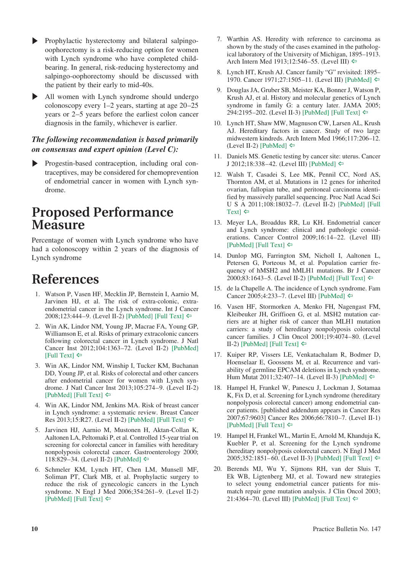- Prophylactic hysterectomy and bilateral salpingooophorectomy is a risk-reducing option for women with Lynch syndrome who have completed childbearing. In general, risk-reducing hysterectomy and salpingo-oophorectomy should be discussed with the patient by their early to mid-40s.
- All women with Lynch syndrome should undergo colonoscopy every 1–2 years, starting at age 20–25 years or 2–5 years before the earliest colon cancer diagnosis in the family, whichever is earlier.

#### *The following recommendation is based primarily on consensus and expert opinion (Level C):*

Progestin-based contraception, including oral contraceptives, may be considered for chemoprevention of endometrial cancer in women with Lynch syndrome.

## **Proposed Performance Measure**

Percentage of women with Lynch syndrome who have had a colonoscopy within 2 years of the diagnosis of Lynch syndrome

## **References**

- <span id="page-9-7"></span>1. Watson P, Vasen HF, Mecklin JP, Bernstein I, Aarnio M, Jarvinen HJ, et al. The risk of extra-colonic, extraendometrial cancer in the Lynch syndrome. Int J Cancer 2008;123:444–9. (Level II-2) [\[PubMed\]](http://www.ncbi.nlm.nih.gov/pubmed/18398828) [\[Full Text\]](http://www.ncbi.nlm.nih.gov/pmc/articles/PMC2627772/) ⇔
- 2. Win AK, Lindor NM, Young JP, Macrae FA, Young GP, Williamson E, et al. Risks of primary extracolonic cancers following colorectal cancer in Lynch syndrome. J Natl Cancer Inst 2012;104:1363–72. (Level II-2) [\[PubMed\]](http://www.ncbi.nlm.nih.gov/pubmed/22933731)  $[Full Text] \Leftrightarrow$  $[Full Text] \Leftrightarrow$
- 3. Win AK, Lindor NM, Winship I, Tucker KM, Buchanan DD, Young JP, et al. Risks of colorectal and other cancers after endometrial cancer for women with Lynch syndrome. J Natl Cancer Inst 2013;105:274–9. (Level II-2)  $[PubMed] [Full Text] \Leftrightarrow$  $[PubMed] [Full Text] \Leftrightarrow$  $[PubMed] [Full Text] \Leftrightarrow$  $[PubMed] [Full Text] \Leftrightarrow$
- 4. Win AK, Lindor NM, Jenkins MA. Risk of breast cancer in Lynch syndrome: a systematic review. Breast Cancer Res 2013;15:R27. (Level II-2) [\[PubMed\]](http://www.ncbi.nlm.nih.gov/pubmed/23510156) [\[Full Text\]](http://www.ncbi.nlm.nih.gov/pmc/articles/PMC3672741/)  $\Leftrightarrow$
- <span id="page-9-8"></span>5. Jarvinen HJ, Aarnio M, Mustonen H, Aktan-Collan K, Aaltonen LA, Peltomaki P, et al. Controlled 15-year trial on screening for colorectal cancer in families with hereditary nonpolyposis colorectal cancer. Gastroenterology 2000; 118:829–34. (Level II-2) [\[PubMed\]](http://www.ncbi.nlm.nih.gov/pubmed/10784581) ⇔
- <span id="page-9-9"></span>6. Schmeler KM, Lynch HT, Chen LM, Munsell MF, Soliman PT, Clark MB, et al. Prophylactic surgery to reduce the risk of gynecologic cancers in the Lynch syndrome. N Engl J Med 2006;354:261–9. (Level II-2) [\[PubMed\]](http://www.ncbi.nlm.nih.gov/pubmed/16421367) [\[Full Text\]](http://www.nejm.org/doi/full/10.1056/NEJMoa052627#t=article) [^](#page-0-10)
- <span id="page-9-0"></span>7. Warthin AS. Heredity with reference to carcinoma as shown by the study of the cases examined in the pathological laboratory of the University of Michigan, 1895–1913. Arch Intern Med 1913;12:546–55. (Level III)  $\Leftrightarrow$
- <span id="page-9-1"></span>8. Lynch HT, Krush AJ. Cancer family "G" revisited: 1895– 1970. Cancer 1971;27:1505–11. (Level III) [\[PubMed\]](http://www.ncbi.nlm.nih.gov/pubmed/5088221) ⇔
- <span id="page-9-2"></span>9. Douglas JA, Gruber SB, Meister KA, Bonner J, Watson P, Krush AJ, et al. History and molecular genetics of Lynch syndrome in family G: a century later. JAMA 2005; 294:2195–202. (Level II-3) [\[PubMed\]](http://www.ncbi.nlm.nih.gov/pubmed/16264161) [\[Full Text\]](http://jama.jamanetwork.com/article.aspx?articleid=201796) ⇔
- <span id="page-9-3"></span>10. Lynch HT, Shaw MW, Magnuson CW, Larsen AL, Krush AJ. Hereditary factors in cancer. Study of two large midwestern kindreds. Arch Intern Med 1966;117:206–12. (Level II-2) [\[PubMed\]](http://www.ncbi.nlm.nih.gov/pubmed/5901552)  $\Leftrightarrow$
- <span id="page-9-4"></span>11. Daniels MS. Genetic testing by cancer site: uterus. Cancer J 2012;18:338–42. (Level III) [\[PubMed\]](http://www.ncbi.nlm.nih.gov/pubmed/22846735) [^](#page-0-4)
- <span id="page-9-5"></span>12. Walsh T, Casadei S, Lee MK, Pennil CC, Nord AS, Thornton AM, et al. Mutations in 12 genes for inherited ovarian, fallopian tube, and peritoneal carcinoma identified by massively parallel sequencing. Proc Natl Acad Sci U S A 2011;108:18032–7. (Level II-2) [\[PubMed\]](http://www.ncbi.nlm.nih.gov/pubmed/22006311) [\[Full](http://www.ncbi.nlm.nih.gov/pmc/articles/PMC3207658/)  [Text\]](http://www.ncbi.nlm.nih.gov/pmc/articles/PMC3207658/)  $\Leftrightarrow$
- <span id="page-9-6"></span>13. Meyer LA, Broaddus RR, Lu KH. Endometrial cancer and Lynch syndrome: clinical and pathologic considerations. Cancer Control 2009;16:14–22. (Level III) [\[PubMed\]](http://www.ncbi.nlm.nih.gov/pubmed/19078925) [\[Full Text\]](http://www.ncbi.nlm.nih.gov/pmc/articles/PMC3693757/)  $\Leftrightarrow$
- <span id="page-9-10"></span>14. Dunlop MG, Farrington SM, Nicholl I, Aaltonen L, Petersen G, Porteous M, et al. Population carrier frequency of hMSH2 and hMLH1 mutations. Br J Cancer 2000;83:1643–5. (Level II-2) [\[PubMed\]](http://www.ncbi.nlm.nih.gov/pubmed/11104559) [\[Full Text\]](http://www.ncbi.nlm.nih.gov/pmc/articles/PMC2363440/) ⇔
- <span id="page-9-11"></span>15. de la Chapelle A. The incidence of Lynch syndrome. Fam Cancer 2005;4:233–7. (Level III) [\[PubMed\]](http://www.ncbi.nlm.nih.gov/pubmed/16136383) [^](#page-1-1)
- <span id="page-9-12"></span>16. Vasen HF, Stormorken A, Menko FH, Nagengast FM, Kleibeuker JH, Griffioen G, et al. MSH2 mutation carriers are at higher risk of cancer than MLH1 mutation carriers: a study of hereditary nonpolyposis colorectal cancer families. J Clin Oncol 2001;19:4074–80. (Level  $II-2$ ) [\[PubMed\]](http://www.ncbi.nlm.nih.gov/pubmed/11600610) [\[Full Text\]](http://jco.ascopubs.org/content/19/20/4074.long)  $\Leftrightarrow$
- <span id="page-9-13"></span>17. Kuiper RP, Vissers LE, Venkatachalam R, Bodmer D, Hoenselaar E, Goossens M, et al. Recurrence and variability of germline EPCAM deletions in Lynch syndrome. Hum Mutat 2011;32:407–14. (Level II-3) [\[PubMed\]](http://www.ncbi.nlm.nih.gov/pubmed/21309036) [^](#page-1-3)
- <span id="page-9-14"></span>18. Hampel H, Frankel W, Panescu J, Lockman J, Sotamaa K, Fix D, et al. Screening for Lynch syndrome (hereditary nonpolyposis colorectal cancer) among endometrial cancer patients. [published addendum appears in Cancer Res 2007;67:9603] Cancer Res 2006;66:7810–7. (Level II-1) [\[PubMed\]](http://www.ncbi.nlm.nih.gov/pubmed/16885385) [\[Full Text\]](http://cancerres.aacrjournals.org/content/66/15/7810.long)  $\Leftrightarrow$
- <span id="page-9-15"></span>19. Hampel H, Frankel WL, Martin E, Arnold M, Khanduja K, Kuebler P, et al. Screening for the Lynch syndrome (hereditary nonpolyposis colorectal cancer). N Engl J Med 2005;352:1851–60. (Level II-3) [\[PubMed\]](http://www.ncbi.nlm.nih.gov/pubmed/15872200) [\[Full Text\]](http://www.nejm.org/doi/full/10.1056/NEJMoa043146#t=article) [^](#page-1-5)
- <span id="page-9-16"></span>20. Berends MJ, Wu Y, Sijmons RH, van der Sluis T, Ek WB, Ligtenberg MJ, et al. Toward new strategies to select young endometrial cancer patients for mismatch repair gene mutation analysis. J Clin Oncol 2003; 21:4364–70. (Level III) [\[PubMed\]](http://www.ncbi.nlm.nih.gov/pubmed/14645426) [\[Full Text\]](http://jco.ascopubs.org/content/21/23/4364.long) [^](#page-1-6)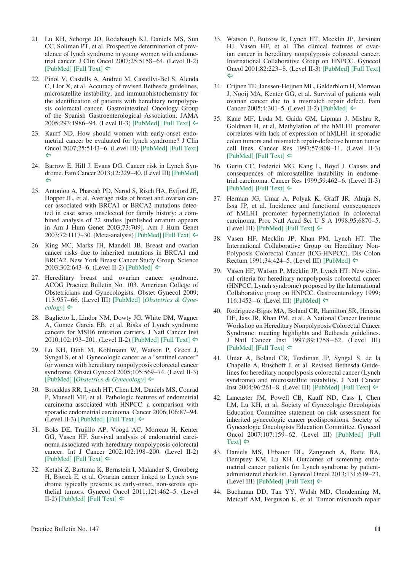- 21. Lu KH, Schorge JO, Rodabaugh KJ, Daniels MS, Sun CC, Soliman PT, et al. Prospective determination of prevalence of lynch syndrome in young women with endometrial cancer. J Clin Oncol 2007;25:5158–64. (Level II-2) [\[PubMed\]](http://www.ncbi.nlm.nih.gov/pubmed/17925543) [\[Full Text\]](http://jco.ascopubs.org/content/25/33/5158.long)  $\Leftrightarrow$
- 22. Pinol V, Castells A, Andreu M, Castellvi-Bel S, Alenda C, Llor X, et al. Accuracy of revised Bethesda guidelines, microsatellite instability, and immunohistochemistry for the identification of patients with hereditary nonpolyposis colorectal cancer. Gastrointestinal Oncology Group of the Spanish Gastroenterological Association. JAMA 2005;293:1986–94. (Level II-3[\) \[PubMed\]](http://www.ncbi.nlm.nih.gov/pubmed/15855432) [\[Full Text\]](http://jama.jamanetwork.com/article.aspx?articleid=200779) ⇔
- 23. Kauff ND. How should women with early-onset endometrial cancer be evaluated for lynch syndrome? J Clin Oncol 2007;25:5143–6. (Level III) [\[PubMed\]](http://www.ncbi.nlm.nih.gov/pubmed/17925541) [\[Full Text\]](http://jco.ascopubs.org/content/25/33/5143.long)   $\Leftarrow$
- <span id="page-10-5"></span>24. Barrow E, Hill J, Evans DG. Cancer risk in Lynch Syndrome. Fam Cancer 2013;12:229–40. (Level III[\) \[PubMed\]](http://www.ncbi.nlm.nih.gov/pubmed/23604856)   $\Leftrightarrow$
- <span id="page-10-6"></span>25. Antoniou A, Pharoah PD, Narod S, Risch HA, Eyfjord JE, Hopper JL, et al. Average risks of breast and ovarian cancer associated with BRCA1 or BRCA2 mutations detected in case series unselected for family history: a combined analysis of 22 studies [published erratum appears in Am J Hum Genet 2003;73:709]. Am J Hum Genet 2003;72:1117–30. (Meta-analysis) [\[PubMed\]](http://www.ncbi.nlm.nih.gov/pubmed/12677558) [\[Full Text\]](http://www.ncbi.nlm.nih.gov/pmc/articles/PMC1180265/) ⇔
- 26. King MC, Marks JH, Mandell JB. Breast and ovarian cancer risks due to inherited mutations in BRCA1 and BRCA2. New York Breast Cancer Study Group. Science 2003;302:643–6. (Level II-2) [\[PubMed\]](http://www.ncbi.nlm.nih.gov/pubmed/14576434) [^](#page-1-12)
- 27. Hereditary breast and ovarian cancer syndrome. ACOG Practice Bulletin No. 103. American College of Obstetricians and Gynecologists. Obstet Gynecol 2009; 113:957–66. (Level III) [\[PubMed\]](http://www.ncbi.nlm.nih.gov/pubmed/19305347) [*[Obstetrics & Gyne](http://journals.lww.com/greenjournal/Citation/2009/04000/ACOG_Practice_Bulletin_No__103__Hereditary_Breast.33.aspx)* $\textit{cology}]\Leftrightarrow$  $\textit{cology}]\Leftrightarrow$  $\textit{cology}]\Leftrightarrow$
- <span id="page-10-7"></span>28. Baglietto L, Lindor NM, Dowty JG, White DM, Wagner A, Gomez Garcia EB, et al. Risks of Lynch syndrome cancers for MSH6 mutation carriers. J Natl Cancer Inst 2010;102:193–201. (Level II-2) [\[PubMed\]](http://www.ncbi.nlm.nih.gov/pubmed/20028993) [\[Full Text\]](http://www.ncbi.nlm.nih.gov/pmc/articles/PMC2815724/) [^](#page-1-13)
- <span id="page-10-8"></span>29. Lu KH, Dinh M, Kohlmann W, Watson P, Green J, Syngal S, et al. Gynecologic cancer as a "sentinel cancer" for women with hereditary nonpolyposis colorectal cancer syndrome. Obstet Gynecol 2005;105:569–74. (Level II-3) [\[PubMed\]](http://www.ncbi.nlm.nih.gov/pubmed/15738026) [*[Obstetrics & Gynecology](http://journals.lww.com/greenjournal/Fulltext/2005/03000/Gynecologic_Cancer_as_a__Sentinel_Cancer__for.21.aspx)*] [^](#page-1-14)
- <span id="page-10-0"></span>30. Broaddus RR, Lynch HT, Chen LM, Daniels MS, Conrad P, Munsell MF, et al. Pathologic features of endometrial carcinoma associated with HNPCC: a comparison with sporadic endometrial carcinoma. Cancer 2006;106:87–94. (Level II-3) [\[PubMed\]](http://www.ncbi.nlm.nih.gov/pubmed/16323174) [\[Full Text\]](http://onlinelibrary.wiley.com/doi/10.1002/cncr.21560/full) [^](#page-1-15)
- <span id="page-10-1"></span>31. Boks DE, Trujillo AP, Voogd AC, Morreau H, Kenter GG, Vasen HF. Survival analysis of endometrial carcinoma associated with hereditary nonpolyposis colorectal cancer. Int J Cancer 2002;102:198–200. (Level II-2) [\[PubMed\]](http://www.ncbi.nlm.nih.gov/pubmed/12385019) [\[Full Text\]](http://onlinelibrary.wiley.com/doi/10.1002/ijc.10667/full)  $\Leftrightarrow$
- <span id="page-10-2"></span>32. Ketabi Z, Bartuma K, Bernstein I, Malander S, Gronberg H, Bjorck E, et al. Ovarian cancer linked to Lynch syndrome typically presents as early-onset, non-serous epithelial tumors. Gynecol Oncol 2011;121:462–5. (Level II-2) [\[PubMed\]](http://www.ncbi.nlm.nih.gov/pubmed/21388660) [\[Full Text\]](http://www.sciencedirect.com/science/article/pii/S0090825811001223)  $\Leftrightarrow$
- <span id="page-10-3"></span>33. Watson P, Butzow R, Lynch HT, Mecklin JP, Jarvinen HJ, Vasen HF, et al. The clinical features of ovarian cancer in hereditary nonpolyposis colorectal cancer. International Collaborative Group on HNPCC. Gynecol Oncol 2001;82:223–8. (Level II-3[\) \[PubMed\]](http://www.ncbi.nlm.nih.gov/pubmed/11531271) [\[Full Text\]](http://www.sciencedirect.com/science/article/pii/S0090825801962791)  $\Leftrightarrow$
- <span id="page-10-4"></span>34. Crijnen TE, Janssen-Heijnen ML, Gelderblom H, Morreau J, Nooij MA, Kenter GG, et al. Survival of patients with ovarian cancer due to a mismatch repair defect. Fam Cancer 2005;4:301–5. (Level II-2) [\[PubMed\]](http://www.ncbi.nlm.nih.gov/pubmed/16341807) [^](#page-1-8)
- <span id="page-10-10"></span>35. Kane MF, Loda M, Gaida GM, Lipman J, Mishra R, Goldman H, et al. Methylation of the hMLH1 promoter correlates with lack of expression of hMLH1 in sporadic colon tumors and mismatch repair-defective human tumor cell lines. Cancer Res 1997;57:808–11. (Level II-3)  $[PubMed] [Full Text] \Leftrightarrow$  $[PubMed] [Full Text] \Leftrightarrow$  $[PubMed] [Full Text] \Leftrightarrow$  $[PubMed] [Full Text] \Leftrightarrow$
- <span id="page-10-11"></span>36. Gurin CC, Federici MG, Kang L, Boyd J. Causes and consequences of microsatellite instability in endometrial carcinoma. Cancer Res 1999;59:462–6. (Level II-3) [\[PubMed\]](http://www.ncbi.nlm.nih.gov/pubmed/9927063) [\[Full Text\]](http://cancerres.aacrjournals.org/content/59/2/462.long)  $\Leftrightarrow$
- <span id="page-10-12"></span>37. Herman JG, Umar A, Polyak K, Graff JR, Ahuja N, Issa JP, et al. Incidence and functional consequences of hMLH1 promoter hypermethylation in colorectal carcinoma. Proc Natl Acad Sci U S A 1998;95:6870–5. (Level III) [\[PubMed\]](http://www.ncbi.nlm.nih.gov/pubmed/9618505) [\[Full Text\]](http://www.ncbi.nlm.nih.gov/pmc/articles/PMC22665/)  $\Leftrightarrow$
- <span id="page-10-13"></span>38. Vasen HF, Mecklin JP, Khan PM, Lynch HT. The International Collaborative Group on Hereditary Non-Polyposis Colorectal Cancer (ICG-HNPCC). Dis Colon Rectum 1991;34:424–5. (Level III) [\[PubMed\]](http://www.ncbi.nlm.nih.gov/pubmed/2022152) [^](#page-2-4)
- <span id="page-10-14"></span>39. Vasen HF, Watson P, Mecklin JP, Lynch HT. New clinical criteria for hereditary nonpolyposis colorectal cancer (HNPCC, Lynch syndrome) proposed by the International Collaborative group on HNPCC. Gastroenterology 1999; 116:1453–6. (Level III) [\[PubMed\]](http://www.ncbi.nlm.nih.gov/pubmed/10348829) [^](#page-2-5)
- <span id="page-10-15"></span>40. Rodriguez-Bigas MA, Boland CR, Hamilton SR, Henson DE, Jass JR, Khan PM, et al. A National Cancer Institute Workshop on Hereditary Nonpolyposis Colorectal Cancer Syndrome: meeting highlights and Bethesda guidelines. J Natl Cancer Inst 1997;89:1758–62. (Level III)  $[PubMed] [Full Text] \Leftrightarrow$  $[PubMed] [Full Text] \Leftrightarrow$  $[PubMed] [Full Text] \Leftrightarrow$  $[PubMed] [Full Text] \Leftrightarrow$
- <span id="page-10-16"></span>41. Umar A, Boland CR, Terdiman JP, Syngal S, de la Chapelle A, Ruschoff J, et al. Revised Bethesda Guidelines for hereditary nonpolyposis colorectal cancer (Lynch syndrome) and microsatellite instability. J Natl Cancer Inst 2004;96:261–8. (Level III) [\[PubMed\]](http://www.ncbi.nlm.nih.gov/pubmed/14970275) [\[Full Text\]](http://www.ncbi.nlm.nih.gov/pmc/articles/PMC2933058/)  $\Leftrightarrow$
- <span id="page-10-9"></span>42. Lancaster JM, Powell CB, Kauff ND, Cass I, Chen LM, Lu KH, et al. Society of Gynecologic Oncologists Education Committee statement on risk assessment for inherited gynecologic cancer predispositions. Society of Gynecologic Oncologists Education Committee. Gynecol Oncol 2007;107:159–62. (Level III) [\[PubMed\]](http://www.ncbi.nlm.nih.gov/pubmed/17950381) [\[Full](http://www.sciencedirect.com/science/article/pii/S0090825807007895) [Text\]](http://www.sciencedirect.com/science/article/pii/S0090825807007895)  $\Leftrightarrow$
- 43. Daniels MS, Urbauer DL, Zangeneh A, Batte BA, Dempsey KM, Lu KH. Outcomes of screening endometrial cancer patients for Lynch syndrome by patientadministered checklist. Gynecol Oncol 2013;131:619–23. (Level III) [\[PubMed\]](http://www.ncbi.nlm.nih.gov/pubmed/24141004) [\[Full Text\]](http://www.sciencedirect.com/science/article/pii/S0090825813012560)  $\Leftrightarrow$
- 44. Buchanan DD, Tan YY, Walsh MD, Clendenning M, Metcalf AM, Ferguson K, et al. Tumor mismatch repair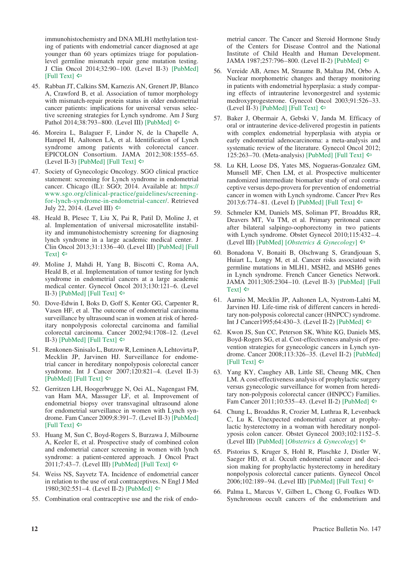immunohistochemistry and DNA MLH1 methylation testing of patients with endometrial cancer diagnosed at age younger than 60 years optimizes triage for populationlevel germline mismatch repair gene mutation testing. J Clin Oncol 2014;32:90–100. (Level II-3) [\[PubMed\]](http://www.ncbi.nlm.nih.gov/pubmed/24323032)  $[Full Text] \Leftrightarrow$  $[Full Text] \Leftrightarrow$ 

- <span id="page-11-0"></span>45. Rabban JT, Calkins SM, Karnezis AN, Grenert JP, Blanco A, Crawford B, et al. Association of tumor morphology with mismatch-repair protein status in older endometrial cancer patients: implications for universal versus selective screening strategies for Lynch syndrome. Am J Surg Pathol 2014;38:793–800. (Level III) [\[PubMed\]](http://www.ncbi.nlm.nih.gov/pubmed/24503759) ⇔
- <span id="page-11-1"></span>46. Moreira L, Balaguer F, Lindor N, de la Chapelle A, Hampel H, Aaltonen LA, et al. Identification of Lynch syndrome among patients with colorectal cancer. EPICOLON Consortium. JAMA 2012;308:1555–65. (Level II-3[\) \[PubMed\]](http://www.ncbi.nlm.nih.gov/pubmed/23073952) [\[Full Text\]](http://www.ncbi.nlm.nih.gov/pmc/articles/PMC3873721/)  $\Leftrightarrow$
- <span id="page-11-2"></span>47. Society of Gynecologic Oncology. SGO clinical practice statement: screening for Lynch syndrome in endometrial cancer. Chicago (IL): SGO; 2014. Available at: [https://](https://www.sgo.org/clinical-practice/guidelines/screening-for-lynch-syndrome-in-endometrial-cancer/) [www.sgo.org/clinical-practice/guidelines/screening](https://www.sgo.org/clinical-practice/guidelines/screening-for-lynch-syndrome-in-endometrial-cancer/)[for-lynch-syndrome-in-endometrial-cancer/.](https://www.sgo.org/clinical-practice/guidelines/screening-for-lynch-syndrome-in-endometrial-cancer/) Retrieved July 22, 2014. (Level III)  $\Leftrightarrow$
- <span id="page-11-3"></span>48. Heald B, Plesec T, Liu X, Pai R, Patil D, Moline J, et al. Implementation of universal microsatellite instability and immunohistochemistry screening for diagnosing lynch syndrome in a large academic medical center. J Clin Oncol 2013;31:1336–40. (Level III[\) \[PubMed\]](http://www.ncbi.nlm.nih.gov/pubmed/23401454) [\[Full](http://jco.ascopubs.org/content/31/10/1336.long) [Text\]](http://jco.ascopubs.org/content/31/10/1336.long)  $\Leftrightarrow$
- <span id="page-11-4"></span>49. Moline J, Mahdi H, Yang B, Biscotti C, Roma AA, Heald B, et al. Implementation of tumor testing for lynch syndrome in endometrial cancers at a large academic medical center. Gynecol Oncol 2013;130:121–6. (Level II-3) [\[PubMed\]](http://www.ncbi.nlm.nih.gov/pubmed/23612316) [\[Full Text\]](http://www.sciencedirect.com/science/article/pii/S0090825813002424)  $\Leftrightarrow$
- <span id="page-11-11"></span>50. Dove-Edwin I, Boks D, Goff S, Kenter GG, Carpenter R, Vasen HF, et al. The outcome of endometrial carcinoma surveillance by ultrasound scan in women at risk of hereditary nonpolyposis colorectal carcinoma and familial colorectal carcinoma. Cancer 2002;94:1708–12. (Level II-3) [\[PubMed\]](http://www.ncbi.nlm.nih.gov/pubmed/11920532) [\[Full Text\]](http://onlinelibrary.wiley.com/doi/10.1002/cncr.10380/full)  $\Leftrightarrow$
- <span id="page-11-12"></span>51. Renkonen-Sinisalo L, Butzow R, Leminen A, Lehtovirta P, Mecklin JP, Jarvinen HJ. Surveillance for endometrial cancer in hereditary nonpolyposis colorectal cancer syndrome. Int J Cancer 2007;120:821–4. (Level II-3) [\[PubMed\]](http://www.ncbi.nlm.nih.gov/pubmed/17096354) [\[Full Text\]](http://onlinelibrary.wiley.com/doi/10.1002/ijc.22446/full)  $\Leftrightarrow$
- <span id="page-11-13"></span>52. Gerritzen LH, Hoogerbrugge N, Oei AL, Nagengast FM, van Ham MA, Massuger LF, et al. Improvement of endometrial biopsy over transvaginal ultrasound alone for endometrial surveillance in women with Lynch syndrome. Fam Cancer 2009;8:391–7. (Level II-3) [\[PubMed\]](http://www.ncbi.nlm.nih.gov/pubmed/19504173)  $[Full Text] \Leftrightarrow$  $[Full Text] \Leftrightarrow$
- <span id="page-11-14"></span>53. Huang M, Sun C, Boyd-Rogers S, Burzawa J, Milbourne A, Keeler E, et al. Prospective study of combined colon and endometrial cancer screening in women with lynch syndrome: a patient-centered approach. J Oncol Pract 2011;7:43–7. (Level III) [\[PubMed\]](http://www.ncbi.nlm.nih.gov/pubmed/21532810) [\[Full Text\]](http://www.ncbi.nlm.nih.gov/pmc/articles/PMC3014510/) ⇔
- <span id="page-11-5"></span>54. Weiss NS, Sayvetz TA. Incidence of endometrial cancer in relation to the use of oral contraceptives. N Engl J Med 1980;302:551–4. (Level II-2) [\[PubMed\]](http://www.ncbi.nlm.nih.gov/pubmed/7351890) ⇔
- <span id="page-11-6"></span>55. Combination oral contraceptive use and the risk of endo-

metrial cancer. The Cancer and Steroid Hormone Study of the Centers for Disease Control and the National Institute of Child Health and Human Development. JAMA 1987;257:796–800. (Level II-2) [\[PubMed\]](http://www.ncbi.nlm.nih.gov/pubmed/3027423) [^](#page-7-0)

- <span id="page-11-7"></span>56. Vereide AB, Arnes M, Straume B, Maltau JM, Orbo A. Nuclear morphometric changes and therapy monitoring in patients with endometrial hyperplasia: a study comparing effects of intrauterine levonorgestrel and systemic medroxyprogesterone. Gynecol Oncol 2003;91:526–33. (Level II-3) [\[PubMed\]](http://www.ncbi.nlm.nih.gov/pubmed/14675671) [\[Full Text\]](http://www.sciencedirect.com/science/article/pii/S0090825803005031)  $\Leftrightarrow$
- <span id="page-11-8"></span>57. Baker J, Obermair A, Gebski V, Janda M. Efficacy of oral or intrauterine device-delivered progestin in patients with complex endometrial hyperplasia with atypia or early endometrial adenocarcinoma: a meta-analysis and systematic review of the literature. Gynecol Oncol 2012; 125:263–70. (Meta-analysis) [\[PubMed\]](http://www.ncbi.nlm.nih.gov/pubmed/22196499) [\[Full Text\]](http://www.sciencedirect.com/science/article/pii/S0090825811009656)  $\Leftrightarrow$
- <span id="page-11-9"></span>58. Lu KH, Loose DS, Yates MS, Nogueras-Gonzalez GM, Munsell MF, Chen LM, et al. Prospective multicenter randomized intermediate biomarker study of oral contraceptive versus depo-provera for prevention of endometrial cancer in women with Lynch syndrome. Cancer Prev Res 2013;6:774–81. (Level I) [\[PubMed\]](http://www.ncbi.nlm.nih.gov/pubmed/23639481) [\[Full Text\]](http://www.ncbi.nlm.nih.gov/pmc/articles/PMC3737517/) ⇔
- <span id="page-11-10"></span>59. Schmeler KM, Daniels MS, Soliman PT, Broaddus RR, Deavers MT, Vu TM, et al. Primary peritoneal cancer after bilateral salpingo-oophorectomy in two patients with Lynch syndrome. Obstet Gynecol 2010;115:432–4. (Level III) [\[PubMed\]](http://www.ncbi.nlm.nih.gov/pubmed/20093870) [*[Obstetrics & Gynecology](http://journals.lww.com/greenjournal/Fulltext/2010/02001/Primary_Peritoneal_Cancer_After_Bilateral.14.aspx)*] [^](#page-7-4)
- <span id="page-11-15"></span>60. Bonadona V, Bonaiti B, Olschwang S, Grandjouan S, Huiart L, Longy M, et al. Cancer risks associated with germline mutations in MLH1, MSH2, and MSH6 genes in Lynch syndrome. French Cancer Genetics Network. JAMA 2011;305:2304–10. (Level II-3) [\[PubMed\]](http://www.ncbi.nlm.nih.gov/pubmed/21642682) [\[Full](http://jama.jamanetwork.com/article.aspx?articleid=900645)  [Text\]](http://jama.jamanetwork.com/article.aspx?articleid=900645)  $\Leftrightarrow$
- <span id="page-11-16"></span>61. Aarnio M, Mecklin JP, Aaltonen LA, Nystrom-Lahti M, Jarvinen HJ. Life-time risk of different cancers in hereditary non-polyposis colorectal cancer (HNPCC) syndrome. Int J Cancer1995;64:430–3. (Level II-2) [\[PubMed\]](http://www.ncbi.nlm.nih.gov/pubmed/8550246 )  $\Leftrightarrow$
- <span id="page-11-17"></span>62. Kwon JS, Sun CC, Peterson SK, White KG, Daniels MS, Boyd-Rogers SG, et al. Cost-effectiveness analysis of prevention strategies for gynecologic cancers in Lynch syndrome. Cancer 2008;113:326–35. (Level II-2) [\[PubMed\]](http://www.ncbi.nlm.nih.gov/pubmed/18506736)   $[Full Text] \Leftrightarrow$  $[Full Text] \Leftrightarrow$
- <span id="page-11-18"></span>63. Yang KY, Caughey AB, Little SE, Cheung MK, Chen LM. A cost-effectiveness analysis of prophylactic surgery versus gynecologic surveillance for women from hereditary non-polyposis colorectal cancer (HNPCC) Families. Fam Cancer 2011;10:535–43. (Level II-2) [\[PubMed\]](http://www.ncbi.nlm.nih.gov/pubmed/21538078)  $\Leftrightarrow$
- <span id="page-11-19"></span>64. Chung L, Broaddus R, Crozier M, Luthraa R, Levenback C, Lu K. Unexpected endometrial cancer at prophylactic hysterectomy in a woman with hereditary nonpolyposis colon cancer. Obstet Gynecol 2003;102:1152–5. (Level III) [\[PubMed\]](http://www.ncbi.nlm.nih.gov/pubmed/14607039) [*[Obstetrics & Gynecology](http://journals.lww.com/greenjournal/Fulltext/2003/11001/Unexpected_Endometrial_Cancer_at_Prophylactic.11.aspx)*] [^](#page-8-4)
- <span id="page-11-20"></span>65. Pistorius S, Kruger S, Hohl R, Plaschke J, Distler W, Saeger HD, et al. Occult endometrial cancer and decision making for prophylactic hysterectomy in hereditary nonpolyposis colorectal cancer patients. Gynecol Oncol 2006;102:189–94. (Level III) [\[PubMed\]](http://www.ncbi.nlm.nih.gov/pubmed/16476474) [\[Full Text\]](http://www.sciencedirect.com/science/article/pii/S009082580600014X) ⇔
- <span id="page-11-21"></span>66. Palma L, Marcus V, Gilbert L, Chong G, Foulkes WD. Synchronous occult cancers of the endometrium and